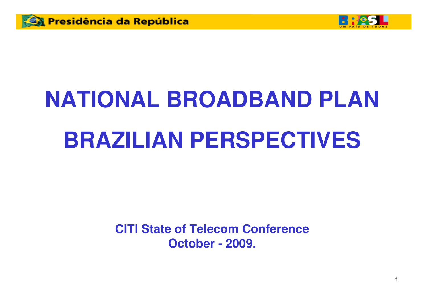



# **NATIONAL BROADBAND PLAN BRAZILIAN PERSPECTIVES**

**CITI State of Telecom ConferenceOctober - 2009.**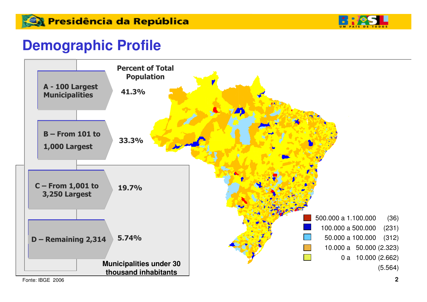

#### **Demographic Profile**

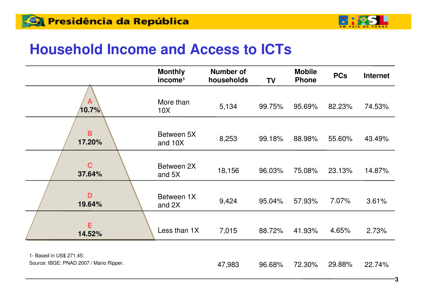

#### **Household Income and Access to ICTs**

|                                                                     | <b>Monthly</b><br>income <sup>1</sup> | <b>Number of</b><br>households | <b>TV</b> | <b>Mobile</b><br><b>Phone</b> | <b>PCs</b> | <b>Internet</b> |
|---------------------------------------------------------------------|---------------------------------------|--------------------------------|-----------|-------------------------------|------------|-----------------|
| A<br>$10.7\%$                                                       | More than<br>10X                      | 5,134                          | 99.75%    | 95.69%                        | 82.23%     | 74.53%          |
| $\mathbf B$<br>17.20%                                               | Between 5X<br>and 10X                 | 8,253                          | 99.18%    | 88.98%                        | 55.60%     | 43.49%          |
| $\mathbf C$<br>37.64%                                               | Between 2X<br>and 5X                  | 18,156                         | 96.03%    | 75.08%                        | 23.13%     | 14.87%          |
| D<br>19.64%                                                         | Between 1X<br>and 2X                  | 9,424                          | 95.04%    | 57.93%                        | 7.07%      | 3.61%           |
| Е<br>14.52%                                                         | Less than 1X                          | 7,015                          | 88.72%    | 41.93%                        | 4.65%      | 2.73%           |
| 1- Based in US\$ 271.45;<br>Source: IBGE: PNAD 2007 / Mario Ripper. |                                       | 47,983                         | 96.68%    | 72.30%                        | 29.88%     | 22.74%          |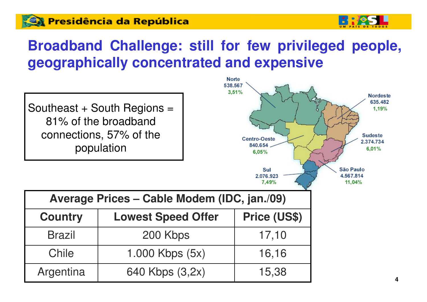#### **Ca Presidência da República**



# **Broadband Challenge: still for few privileged people, geographically concentrated and expensive**

Southeast  $+$  South Regions  $=$ 81% of the broadband connections, 57% of the population



|  | Average Prices - Cable Modem (IDC, jan./09) |
|--|---------------------------------------------|
|--|---------------------------------------------|

| <b>Country</b> | <b>Lowest Speed Offer</b> | Price (US\$) |  |
|----------------|---------------------------|--------------|--|
| <b>Brazil</b>  | 200 Kbps                  | 17,10        |  |
| Chile          | 1.000 Kbps $(5x)$         | 16,16        |  |
| Argentina      | 640 Kbps (3,2x)           | 15,38        |  |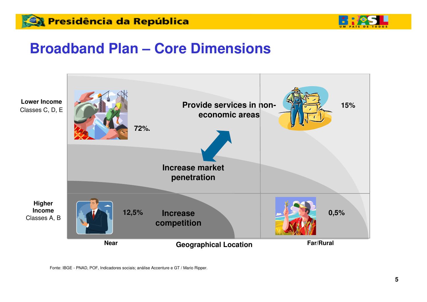



#### **Broadband Plan – Core Dimensions**



Fonte: IBGE - PNAD, POF, Indicadores sociais; análise Accenture e GT / Mario Ripper.